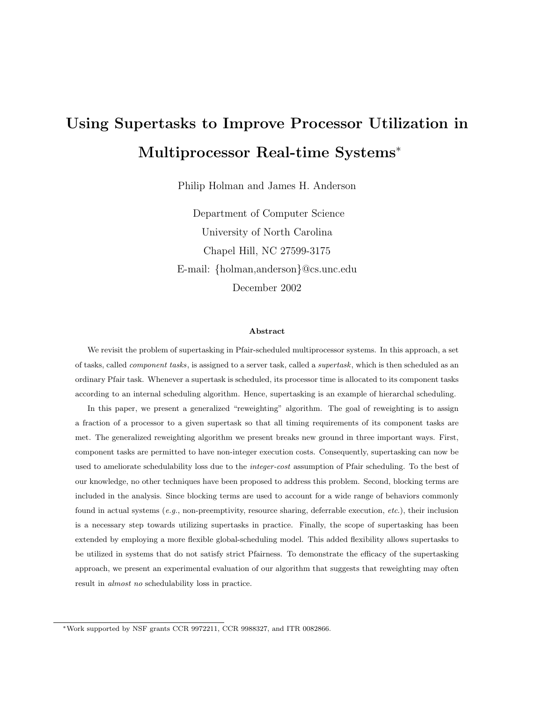# **Using Supertasks to Improve Processor Utilization in Multiprocessor Real-time Systems**<sup>∗</sup>

Philip Holman and James H. Anderson

Department of Computer Science University of North Carolina Chapel Hill, NC 27599-3175 E-mail: {holman,anderson}@cs.unc.edu December 2002

#### **Abstract**

We revisit the problem of supertasking in Pfair-scheduled multiprocessor systems. In this approach, a set of tasks, called *component tasks*, is assigned to a server task, called a *supertask*, which is then scheduled as an ordinary Pfair task. Whenever a supertask is scheduled, its processor time is allocated to its component tasks according to an internal scheduling algorithm. Hence, supertasking is an example of hierarchal scheduling.

In this paper, we present a generalized "reweighting" algorithm. The goal of reweighting is to assign a fraction of a processor to a given supertask so that all timing requirements of its component tasks are met. The generalized reweighting algorithm we present breaks new ground in three important ways. First, component tasks are permitted to have non-integer execution costs. Consequently, supertasking can now be used to ameliorate schedulability loss due to the *integer-cost* assumption of Pfair scheduling. To the best of our knowledge, no other techniques have been proposed to address this problem. Second, blocking terms are included in the analysis. Since blocking terms are used to account for a wide range of behaviors commonly found in actual systems  $(e.g.,$  non-preemptivity, resource sharing, deferrable execution,  $etc.$ ), their inclusion is a necessary step towards utilizing supertasks in practice. Finally, the scope of supertasking has been extended by employing a more flexible global-scheduling model. This added flexibility allows supertasks to be utilized in systems that do not satisfy strict Pfairness. To demonstrate the efficacy of the supertasking approach, we present an experimental evaluation of our algorithm that suggests that reweighting may often result in almost no schedulability loss in practice.

<sup>∗</sup>Work supported by NSF grants CCR 9972211, CCR 9988327, and ITR 0082866.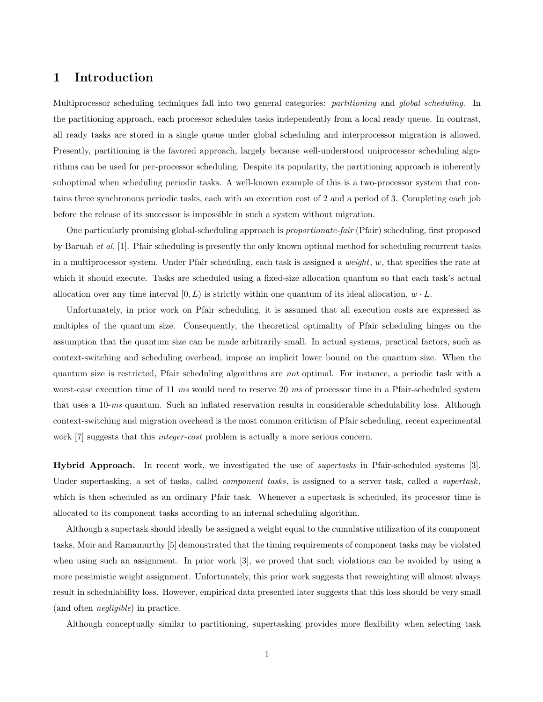## **1 Introduction**

Multiprocessor scheduling techniques fall into two general categories: *partitioning* and *global scheduling*. In the partitioning approach, each processor schedules tasks independently from a local ready queue. In contrast, all ready tasks are stored in a single queue under global scheduling and interprocessor migration is allowed. Presently, partitioning is the favored approach, largely because well-understood uniprocessor scheduling algorithms can be used for per-processor scheduling. Despite its popularity, the partitioning approach is inherently suboptimal when scheduling periodic tasks. A well-known example of this is a two-processor system that contains three synchronous periodic tasks, each with an execution cost of 2 and a period of 3. Completing each job before the release of its successor is impossible in such a system without migration.

One particularly promising global-scheduling approach is *proportionate-fair* (Pfair) scheduling, first proposed by Baruah *et al.* [1]. Pfair scheduling is presently the only known optimal method for scheduling recurrent tasks in a multiprocessor system. Under Pfair scheduling, each task is assigned a *weight*, w, that specifies the rate at which it should execute. Tasks are scheduled using a fixed-size allocation quantum so that each task's actual allocation over any time interval  $[0, L)$  is strictly within one quantum of its ideal allocation,  $w \cdot L$ .

Unfortunately, in prior work on Pfair scheduling, it is assumed that all execution costs are expressed as multiples of the quantum size. Consequently, the theoretical optimality of Pfair scheduling hinges on the assumption that the quantum size can be made arbitrarily small. In actual systems, practical factors, such as context-switching and scheduling overhead, impose an implicit lower bound on the quantum size. When the quantum size is restricted, Pfair scheduling algorithms are *not* optimal. For instance, a periodic task with a worst-case execution time of 11 *ms* would need to reserve 20 *ms* of processor time in a Pfair-scheduled system that uses a 10-*ms* quantum. Such an inflated reservation results in considerable schedulability loss. Although context-switching and migration overhead is the most common criticism of Pfair scheduling, recent experimental work [7] suggests that this *integer-cost* problem is actually a more serious concern.

**Hybrid Approach.** In recent work, we investigated the use of *supertasks* in Pfair-scheduled systems [3]. Under supertasking, a set of tasks, called *component tasks*, is assigned to a server task, called a *supertask*, which is then scheduled as an ordinary Pfair task. Whenever a supertask is scheduled, its processor time is allocated to its component tasks according to an internal scheduling algorithm.

Although a supertask should ideally be assigned a weight equal to the cumulative utilization of its component tasks, Moir and Ramamurthy [5] demonstrated that the timing requirements of component tasks may be violated when using such an assignment. In prior work [3], we proved that such violations can be avoided by using a more pessimistic weight assignment. Unfortunately, this prior work suggests that reweighting will almost always result in schedulability loss. However, empirical data presented later suggests that this loss should be very small (and often *negligible*) in practice.

Although conceptually similar to partitioning, supertasking provides more flexibility when selecting task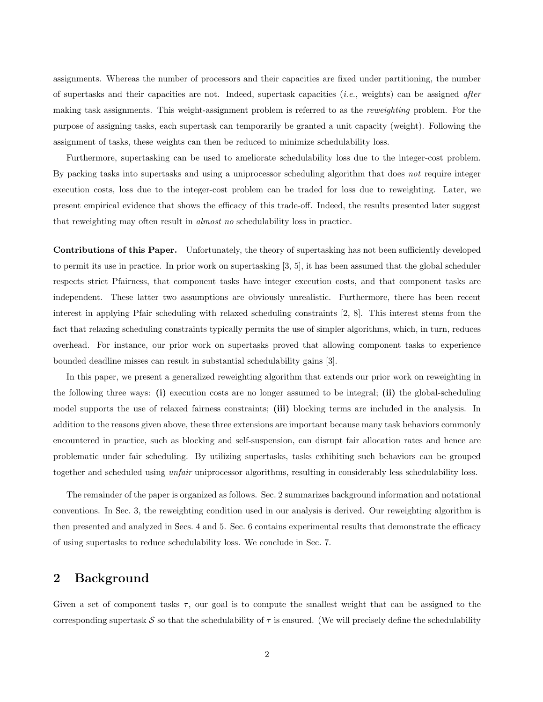assignments. Whereas the number of processors and their capacities are fixed under partitioning, the number of supertasks and their capacities are not. Indeed, supertask capacities (*i.e.*, weights) can be assigned *after* making task assignments. This weight-assignment problem is referred to as the *reweighting* problem. For the purpose of assigning tasks, each supertask can temporarily be granted a unit capacity (weight). Following the assignment of tasks, these weights can then be reduced to minimize schedulability loss.

Furthermore, supertasking can be used to ameliorate schedulability loss due to the integer-cost problem. By packing tasks into supertasks and using a uniprocessor scheduling algorithm that does *not* require integer execution costs, loss due to the integer-cost problem can be traded for loss due to reweighting. Later, we present empirical evidence that shows the efficacy of this trade-off. Indeed, the results presented later suggest that reweighting may often result in *almost no* schedulability loss in practice.

**Contributions of this Paper.** Unfortunately, the theory of supertasking has not been sufficiently developed to permit its use in practice. In prior work on supertasking [3, 5], it has been assumed that the global scheduler respects strict Pfairness, that component tasks have integer execution costs, and that component tasks are independent. These latter two assumptions are obviously unrealistic. Furthermore, there has been recent interest in applying Pfair scheduling with relaxed scheduling constraints [2, 8]. This interest stems from the fact that relaxing scheduling constraints typically permits the use of simpler algorithms, which, in turn, reduces overhead. For instance, our prior work on supertasks proved that allowing component tasks to experience bounded deadline misses can result in substantial schedulability gains [3].

In this paper, we present a generalized reweighting algorithm that extends our prior work on reweighting in the following three ways: **(i)** execution costs are no longer assumed to be integral; **(ii)** the global-scheduling model supports the use of relaxed fairness constraints; **(iii)** blocking terms are included in the analysis. In addition to the reasons given above, these three extensions are important because many task behaviors commonly encountered in practice, such as blocking and self-suspension, can disrupt fair allocation rates and hence are problematic under fair scheduling. By utilizing supertasks, tasks exhibiting such behaviors can be grouped together and scheduled using *unfair* uniprocessor algorithms, resulting in considerably less schedulability loss.

The remainder of the paper is organized as follows. Sec. 2 summarizes background information and notational conventions. In Sec. 3, the reweighting condition used in our analysis is derived. Our reweighting algorithm is then presented and analyzed in Secs. 4 and 5. Sec. 6 contains experimental results that demonstrate the efficacy of using supertasks to reduce schedulability loss. We conclude in Sec. 7.

### **2 Background**

Given a set of component tasks  $\tau$ , our goal is to compute the smallest weight that can be assigned to the corresponding supertask S so that the schedulability of  $\tau$  is ensured. (We will precisely define the schedulability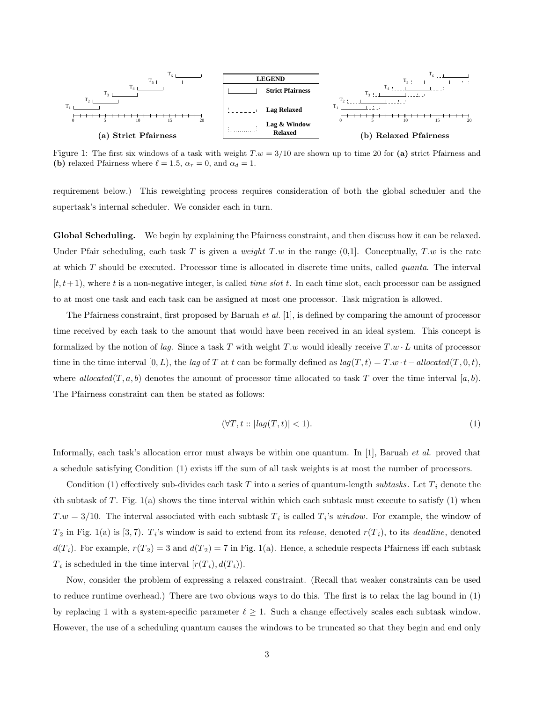

Figure 1: The first six windows of a task with weight  $T.w = 3/10$  are shown up to time 20 for (a) strict Pfairness and **(b)** relaxed Pfairness where  $\ell = 1.5$ ,  $\alpha_r = 0$ , and  $\alpha_d = 1$ .

requirement below.) This reweighting process requires consideration of both the global scheduler and the supertask's internal scheduler. We consider each in turn.

**Global Scheduling.** We begin by explaining the Pfairness constraint, and then discuss how it can be relaxed. Under Pfair scheduling, each task T is given a *weight*  $T.w$  in the range  $(0,1]$ . Conceptually,  $T.w$  is the rate at which T should be executed. Processor time is allocated in discrete time units, called *quanta*. The interval  $[t, t+1)$ , where t is a non-negative integer, is called time slot t. In each time slot, each processor can be assigned to at most one task and each task can be assigned at most one processor. Task migration is allowed.

The Pfairness constraint, first proposed by Baruah *et al.* [1], is defined by comparing the amount of processor time received by each task to the amount that would have been received in an ideal system. This concept is formalized by the notion of *lag*. Since a task T with weight T .w would ideally receive  $T.w \cdot L$  units of processor time in the time interval  $[0, L)$ , the *lag* of T at t can be formally defined as  $lag(T, t) = T.w \cdot t - allocated(T, 0, t)$ , where *allocated* $(T, a, b)$  denotes the amount of processor time allocated to task T over the time interval [a, b). The Pfairness constraint can then be stated as follows:

$$
(\forall T, t :: |lag(T, t)| < 1). \tag{1}
$$

Informally, each task's allocation error must always be within one quantum. In [1], Baruah *et al.* proved that a schedule satisfying Condition (1) exists iff the sum of all task weights is at most the number of processors.

Condition (1) effectively sub-divides each task T into a series of quantum-length *subtasks*. Let  $T_i$  denote the ith subtask of T. Fig.  $1(a)$  shows the time interval within which each subtask must execute to satisfy  $(1)$  when  $T.w = 3/10$ . The interval associated with each subtask  $T_i$  is called  $T_i$ 's *window*. For example, the window of  $T_2$  in Fig. 1(a) is [3,7).  $T_i$ 's window is said to extend from its *release*, denoted  $r(T_i)$ , to its *deadline*, denoted  $d(T_i)$ . For example,  $r(T_2) = 3$  and  $d(T_2) = 7$  in Fig. 1(a). Hence, a schedule respects Pfairness iff each subtask  $T_i$  is scheduled in the time interval  $[r(T_i), d(T_i))$ .

Now, consider the problem of expressing a relaxed constraint. (Recall that weaker constraints can be used to reduce runtime overhead.) There are two obvious ways to do this. The first is to relax the lag bound in (1) by replacing 1 with a system-specific parameter  $\ell \geq 1$ . Such a change effectively scales each subtask window. However, the use of a scheduling quantum causes the windows to be truncated so that they begin and end only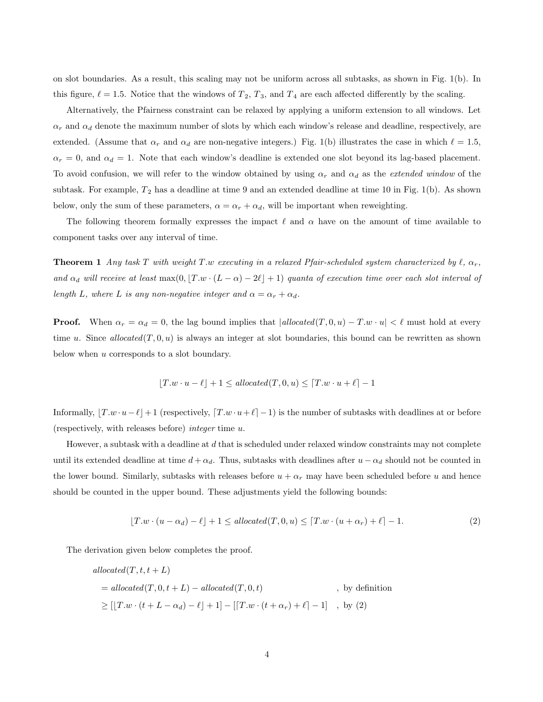on slot boundaries. As a result, this scaling may not be uniform across all subtasks, as shown in Fig. 1(b). In this figure,  $\ell = 1.5$ . Notice that the windows of  $T_2$ ,  $T_3$ , and  $T_4$  are each affected differently by the scaling.

Alternatively, the Pfairness constraint can be relaxed by applying a uniform extension to all windows. Let  $\alpha_r$  and  $\alpha_d$  denote the maximum number of slots by which each window's release and deadline, respectively, are extended. (Assume that  $\alpha_r$  and  $\alpha_d$  are non-negative integers.) Fig. 1(b) illustrates the case in which  $\ell = 1.5$ ,  $\alpha_r = 0$ , and  $\alpha_d = 1$ . Note that each window's deadline is extended one slot beyond its lag-based placement. To avoid confusion, we will refer to the window obtained by using  $\alpha_r$  and  $\alpha_d$  as the *extended window* of the subtask. For example,  $T_2$  has a deadline at time 9 and an extended deadline at time 10 in Fig. 1(b). As shown below, only the sum of these parameters,  $\alpha = \alpha_r + \alpha_d$ , will be important when reweighting.

The following theorem formally expresses the impact  $\ell$  and  $\alpha$  have on the amount of time available to component tasks over any interval of time.

**Theorem 1** *Any task* T *with weight* T.w *executing* in a relaxed Pfair-scheduled system characterized by  $\ell$ ,  $\alpha_r$ , and  $\alpha_d$  will receive at least  $\max(0, [T.w \cdot (L-\alpha) - 2\ell] + 1)$  *quanta of execution time over each slot interval of length* L, where L *is any non-negative integer and*  $\alpha = \alpha_r + \alpha_d$ .

**Proof.** When  $\alpha_r = \alpha_d = 0$ , the lag bound implies that  $|$ *allocated*(T, 0, *u*) – T.*w* · *u*| <  $\ell$  must hold at every time u. Since allocated $(T, 0, u)$  is always an integer at slot boundaries, this bound can be rewritten as shown below when u corresponds to a slot boundary.

$$
\lfloor T.w \cdot u - \ell \rfloor + 1 \le \text{allocated}(T, 0, u) \le \lceil T.w \cdot u + \ell \rceil - 1
$$

Informally,  $[T \cdot w \cdot u - \ell] + 1$  (respectively,  $[T \cdot w \cdot u + \ell] - 1$ ) is the number of subtasks with deadlines at or before (respectively, with releases before) *integer* time u.

However, a subtask with a deadline at d that is scheduled under relaxed window constraints may not complete until its extended deadline at time  $d + \alpha_d$ . Thus, subtasks with deadlines after  $u - \alpha_d$  should not be counted in the lower bound. Similarly, subtasks with releases before  $u + \alpha_r$  may have been scheduled before u and hence should be counted in the upper bound. These adjustments yield the following bounds:

$$
[T.w \cdot (u - \alpha_d) - \ell] + 1 \le allowed(T, 0, u) \le [T.w \cdot (u + \alpha_r) + \ell] - 1.
$$
 (2)

The derivation given below completes the proof.

$$
allocated(T, t, t + L)
$$
  
=  $allocated(T, 0, t + L) - allocated(T, 0, t)$ , by definition  

$$
\geq [[T.w \cdot (t + L - \alpha_d) - \ell] + 1] - [[T.w \cdot (t + \alpha_r) + \ell] - 1], by (2)
$$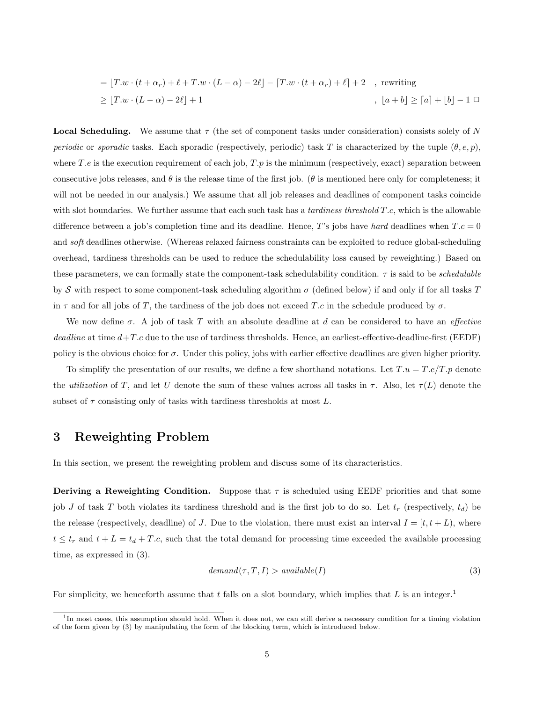$$
= [T.w \cdot (t + \alpha_r) + \ell + T.w \cdot (L - \alpha) - 2\ell] - [T.w \cdot (t + \alpha_r) + \ell] + 2 , \text{ rewriting}
$$
  
\n
$$
\geq [T.w \cdot (L - \alpha) - 2\ell] + 1 , [a + b] \geq [a] + [b] - 1 \square
$$

**Local Scheduling.** We assume that  $\tau$  (the set of component tasks under consideration) consists solely of N *periodic* or *sporadic* tasks. Each sporadic (respectively, periodic) task T is characterized by the tuple  $(\theta, e, p)$ , where T.e is the execution requirement of each job,  $T.p$  is the minimum (respectively, exact) separation between consecutive jobs releases, and  $\theta$  is the release time of the first job. ( $\theta$  is mentioned here only for completeness; it will not be needed in our analysis.) We assume that all job releases and deadlines of component tasks coincide with slot boundaries. We further assume that each such task has a *tardiness threshold* T.c, which is the allowable difference between a job's completion time and its deadline. Hence, T's jobs have *hard* deadlines when  $T.c = 0$ and *soft* deadlines otherwise. (Whereas relaxed fairness constraints can be exploited to reduce global-scheduling overhead, tardiness thresholds can be used to reduce the schedulability loss caused by reweighting.) Based on these parameters, we can formally state the component-task schedulability condition. τ is said to be *schedulable* by S with respect to some component-task scheduling algorithm  $\sigma$  (defined below) if and only if for all tasks T in  $\tau$  and for all jobs of T, the tardiness of the job does not exceed T.c in the schedule produced by  $\sigma$ .

We now define σ. Ajob of task T with an absolute deadline at d can be considered to have an *effective deadline* at time  $d+T.c$  due to the use of tardiness thresholds. Hence, an earliest-effective-deadline-first (EEDF) policy is the obvious choice for  $\sigma$ . Under this policy, jobs with earlier effective deadlines are given higher priority.

To simplify the presentation of our results, we define a few shorthand notations. Let  $T.u = T.e/T.p$  denote the *utilization* of T, and let U denote the sum of these values across all tasks in  $\tau$ . Also, let  $\tau(L)$  denote the subset of  $\tau$  consisting only of tasks with tardiness thresholds at most L.

# **3 Reweighting Problem**

In this section, we present the reweighting problem and discuss some of its characteristics.

**Deriving a Reweighting Condition.** Suppose that  $\tau$  is scheduled using EEDF priorities and that some job J of task T both violates its tardiness threshold and is the first job to do so. Let  $t_r$  (respectively,  $t_d$ ) be the release (respectively, deadline) of J. Due to the violation, there must exist an interval  $I = [t, t + L)$ , where  $t \leq t_r$  and  $t + L = t_d + T.c$ , such that the total demand for processing time exceeded the available processing time, as expressed in (3).

$$
demand(\tau, T, I) > available(I)
$$
\n(3)

For simplicity, we henceforth assume that t falls on a slot boundary, which implies that L is an integer.<sup>1</sup>

<sup>&</sup>lt;sup>1</sup>In most cases, this assumption should hold. When it does not, we can still derive a necessary condition for a timing violation of the form given by (3) by manipulating the form of the blocking term, which is introduced below.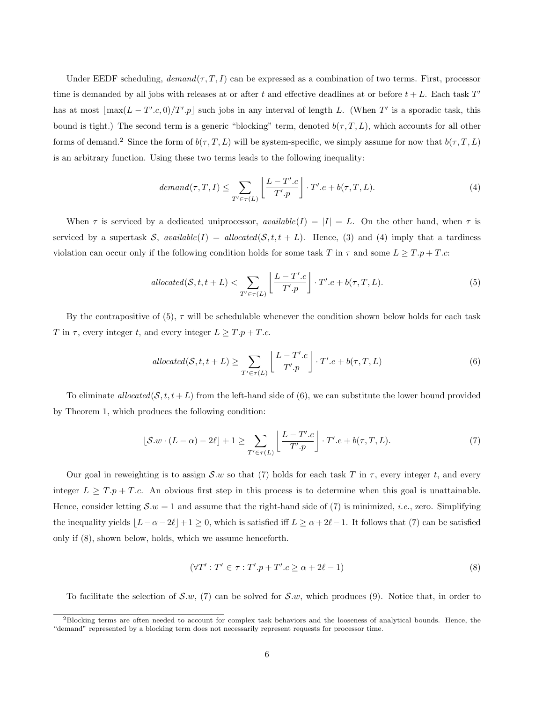Under EEDF scheduling,  $demand(\tau, T, I)$  can be expressed as a combination of two terms. First, processor time is demanded by all jobs with releases at or after t and effective deadlines at or before  $t + L$ . Each task T' has at most  $\lfloor \max(L - T'.c, 0)/T'.p \rfloor$  such jobs in any interval of length L. (When T' is a sporadic task, this bound is tight.) The second term is a generic "blocking" term, denoted  $b(\tau,T,L)$ , which accounts for all other forms of demand.<sup>2</sup> Since the form of  $b(\tau,T,L)$  will be system-specific, we simply assume for now that  $b(\tau,T,L)$ is an arbitrary function. Using these two terms leads to the following inequality:

$$
demand(\tau, T, I) \leq \sum_{T' \in \tau(L)} \left[ \frac{L - T'.c}{T'.p} \right] \cdot T'.e + b(\tau, T, L). \tag{4}
$$

When  $\tau$  is serviced by a dedicated uniprocessor, *available*( $I$ ) = |I| = L. On the other hand, when  $\tau$  is serviced by a supertask  $S$ , *available*( $I$ ) = *allocated*( $S$ ,  $t$ ,  $t + L$ ). Hence, (3) and (4) imply that a tardiness violation can occur only if the following condition holds for some task T in  $\tau$  and some  $L \geq T.p + T.c$ :

$$
allocated(S, t, t + L) < \sum_{T' \in \tau(L)} \left[ \frac{L - T'.c}{T'.p} \right] \cdot T'.e + b(\tau, T, L). \tag{5}
$$

By the contrapositive of  $(5)$ ,  $\tau$  will be schedulable whenever the condition shown below holds for each task T in  $\tau$ , every integer t, and every integer  $L \geq T.p + T.c$ .

$$
allocated(S, t, t + L) \ge \sum_{T' \in \tau(L)} \left[ \frac{L - T'.c}{T'.p} \right] \cdot T'.e + b(\tau, T, L) \tag{6}
$$

To eliminate *allocated*( $S, t, t + L$ ) from the left-hand side of (6), we can substitute the lower bound provided by Theorem 1, which produces the following condition:

$$
\lfloor \mathcal{S}.w \cdot (L - \alpha) - 2\ell \rfloor + 1 \ge \sum_{T' \in \tau(L)} \left[ \frac{L - T'.c}{T'.p} \right] \cdot T'.e + b(\tau, T, L). \tag{7}
$$

Our goal in reweighting is to assign  $\mathcal{S}.w$  so that (7) holds for each task T in  $\tau$ , every integer t, and every integer  $L \geq T.p + T.c.$  An obvious first step in this process is to determine when this goal is unattainable. Hence, consider letting  $S.w = 1$  and assume that the right-hand side of (7) is minimized, *i.e.*, zero. Simplifying the inequality yields  $\lfloor L-\alpha-2\ell \rfloor+1 \geq 0$ , which is satisfied iff  $L \geq \alpha+2\ell-1$ . It follows that (7) can be satisfied only if (8), shown below, holds, which we assume henceforth.

$$
(\forall T': T' \in \tau : T'.p + T'.c \ge \alpha + 2\ell - 1)
$$
\n
$$
(8)
$$

To facilitate the selection of S.w, (7) can be solved for S.w, which produces (9). Notice that, in order to

<sup>&</sup>lt;sup>2</sup>Blocking terms are often needed to account for complex task behaviors and the looseness of analytical bounds. Hence, the "demand" represented by a blocking term does not necessarily represent requests for processor time.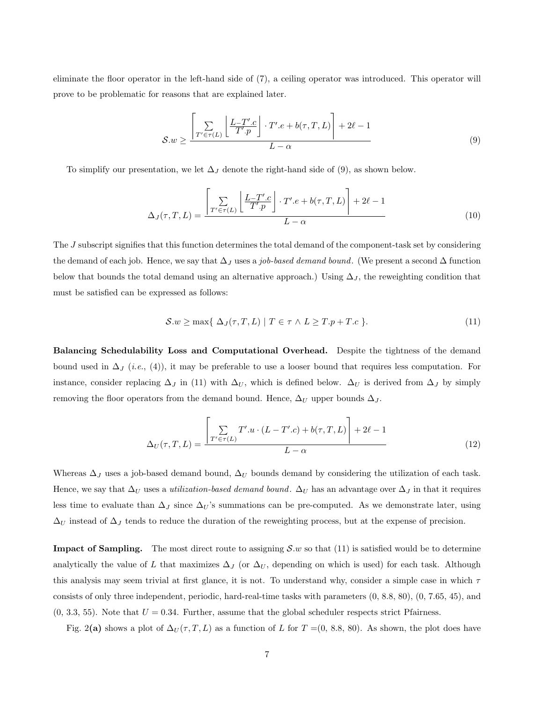eliminate the floor operator in the left-hand side of (7), a ceiling operator was introduced. This operator will prove to be problematic for reasons that are explained later.

$$
S.w \ge \frac{\left[\sum\limits_{T' \in \tau(L)} \left\lfloor \frac{L - T'.c}{T'.p} \right\rfloor \cdot T'.e + b(\tau, T, L) \right] + 2\ell - 1}{L - \alpha} \tag{9}
$$

To simplify our presentation, we let  $\Delta_J$  denote the right-hand side of (9), as shown below.

$$
\Delta_J(\tau, T, L) = \frac{\left[\sum\limits_{T' \in \tau(L)} \left\lfloor \frac{L - T'.c}{T'.p} \right\rfloor \cdot T'.e + b(\tau, T, L) \right] + 2\ell - 1}{L - \alpha} \tag{10}
$$

The J subscript signifies that this function determines the total demand of the component-task set by considering the demand of each job. Hence, we say that ∆<sup>J</sup> uses a *job-based demand bound*. (We present a second ∆ function below that bounds the total demand using an alternative approach.) Using  $\Delta_J$ , the reweighting condition that must be satisfied can be expressed as follows:

$$
S.w \ge \max\{ \Delta_J(\tau, T, L) \mid T \in \tau \land L \ge T.p + T.c \}.
$$
\n(11)

**Balancing Schedulability Loss and Computational Overhead.** Despite the tightness of the demand bound used in ∆<sup>J</sup> (*i.e.*, (4)), it may be preferable to use a looser bound that requires less computation. For instance, consider replacing  $\Delta_J$  in (11) with  $\Delta_U$ , which is defined below.  $\Delta_U$  is derived from  $\Delta_J$  by simply removing the floor operators from the demand bound. Hence,  $\Delta_U$  upper bounds  $\Delta_J$ .

$$
\Delta_U(\tau, T, L) = \frac{\left[\sum_{T' \in \tau(L)} T'.u \cdot (L - T'.c) + b(\tau, T, L)\right] + 2\ell - 1}{L - \alpha} \tag{12}
$$

Whereas  $\Delta_J$  uses a job-based demand bound,  $\Delta_U$  bounds demand by considering the utilization of each task. Hence, we say that  $\Delta_U$  uses a *utilization-based demand bound*.  $\Delta_U$  has an advantage over  $\Delta_J$  in that it requires less time to evaluate than  $\Delta_J$  since  $\Delta_U$ 's summations can be pre-computed. As we demonstrate later, using  $\Delta_U$  instead of  $\Delta_J$  tends to reduce the duration of the reweighting process, but at the expense of precision.

**Impact of Sampling.** The most direct route to assigning  $S.w$  so that (11) is satisfied would be to determine analytically the value of L that maximizes  $\Delta_J$  (or  $\Delta_U$ , depending on which is used) for each task. Although this analysis may seem trivial at first glance, it is not. To understand why, consider a simple case in which  $\tau$ consists of only three independent, periodic, hard-real-time tasks with parameters (0, 8.8, 80), (0, 7.65, 45), and  $(0, 3.3, 55)$ . Note that  $U = 0.34$ . Further, assume that the global scheduler respects strict Pfairness.

Fig. 2(a) shows a plot of  $\Delta_U(\tau,T,L)$  as a function of L for  $T = (0, 8.8, 80)$ . As shown, the plot does have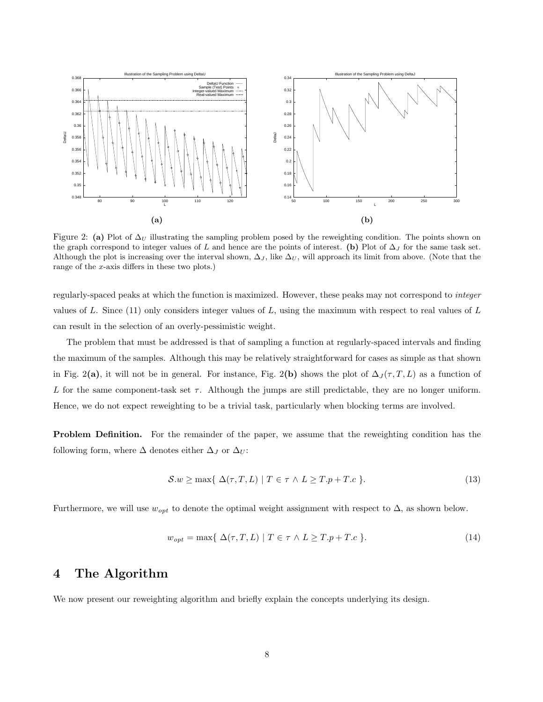

Figure 2: (a) Plot of  $\Delta_U$  illustrating the sampling problem posed by the reweighting condition. The points shown on the graph correspond to integer values of L and hence are the points of interest. **(b)** Plot of  $\Delta_J$  for the same task set. Although the plot is increasing over the interval shown,  $\Delta J$ , like  $\Delta U$ , will approach its limit from above. (Note that the range of the x-axis differs in these two plots.)

regularly-spaced peaks at which the function is maximized. However, these peaks may not correspond to *integer* values of L. Since  $(11)$  only considers integer values of L, using the maximum with respect to real values of L can result in the selection of an overly-pessimistic weight.

The problem that must be addressed is that of sampling a function at regularly-spaced intervals and finding the maximum of the samples. Although this may be relatively straightforward for cases as simple as that shown in Fig. 2(a), it will not be in general. For instance, Fig. 2(b) shows the plot of  $\Delta_J(\tau,T,L)$  as a function of L for the same component-task set  $\tau$ . Although the jumps are still predictable, they are no longer uniform. Hence, we do not expect reweighting to be a trivial task, particularly when blocking terms are involved.

**Problem Definition.** For the remainder of the paper, we assume that the reweighting condition has the following form, where  $\Delta$  denotes either  $\Delta_J$  or  $\Delta_U$ :

$$
S.w \ge \max\{ \Delta(\tau, T, L) \mid T \in \tau \land L \ge T.p + T.c \}.
$$
\n(13)

Furthermore, we will use  $w_{opt}$  to denote the optimal weight assignment with respect to  $\Delta$ , as shown below.

$$
w_{opt} = \max\{ \Delta(\tau, T, L) \mid T \in \tau \land L \ge T \cdot p + T \cdot c \}.
$$
\n
$$
(14)
$$

#### **4 The Algorithm**

We now present our reweighting algorithm and briefly explain the concepts underlying its design.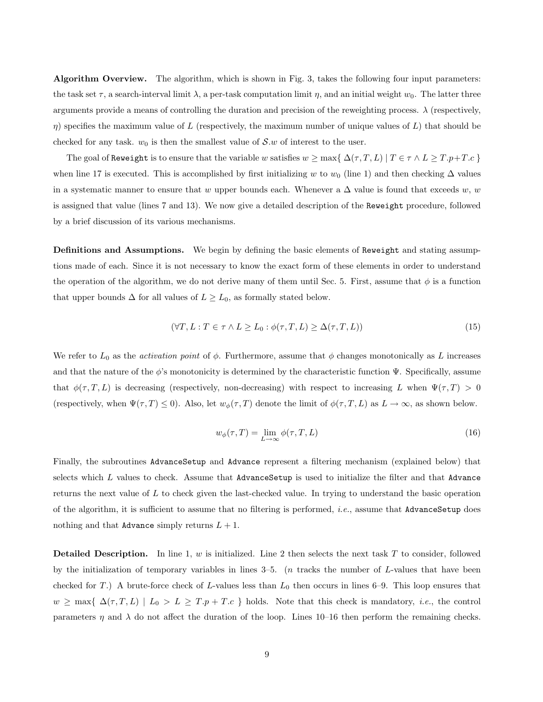**Algorithm Overview.** The algorithm, which is shown in Fig. 3, takes the following four input parameters: the task set  $\tau$ , a search-interval limit  $\lambda$ , a per-task computation limit  $\eta$ , and an initial weight  $w_0$ . The latter three arguments provide a means of controlling the duration and precision of the reweighting process.  $\lambda$  (respectively,  $\eta$ ) specifies the maximum value of L (respectively, the maximum number of unique values of L) that should be checked for any task.  $w_0$  is then the smallest value of S.w of interest to the user.

The goal of Reweight is to ensure that the variable w satisfies  $w \ge \max\{ \Delta(\tau, T, L) | T \in \tau \wedge L \ge T.p + T.c \}$ when line 17 is executed. This is accomplished by first initializing w to  $w_0$  (line 1) and then checking  $\Delta$  values in a systematic manner to ensure that w upper bounds each. Whenever a  $\Delta$  value is found that exceeds w, w is assigned that value (lines 7 and 13). We now give a detailed description of the Reweight procedure, followed by a brief discussion of its various mechanisms.

**Definitions and Assumptions.** We begin by defining the basic elements of Reweight and stating assumptions made of each. Since it is not necessary to know the exact form of these elements in order to understand the operation of the algorithm, we do not derive many of them until Sec. 5. First, assume that  $\phi$  is a function that upper bounds  $\Delta$  for all values of  $L \geq L_0$ , as formally stated below.

$$
(\forall T, L: T \in \tau \land L \ge L_0: \phi(\tau, T, L) \ge \Delta(\tau, T, L))
$$
\n
$$
(15)
$$

We refer to  $L_0$  as the *activation point* of  $\phi$ . Furthermore, assume that  $\phi$  changes monotonically as L increases and that the nature of the  $\phi$ 's monotonicity is determined by the characteristic function  $\Psi$ . Specifically, assume that  $\phi(\tau,T,L)$  is decreasing (respectively, non-decreasing) with respect to increasing L when  $\Psi(\tau,T) > 0$ (respectively, when  $\Psi(\tau,T) \leq 0$ ). Also, let  $w_{\phi}(\tau,T)$  denote the limit of  $\phi(\tau,T,L)$  as  $L \to \infty$ , as shown below.

$$
w_{\phi}(\tau, T) = \lim_{L \to \infty} \phi(\tau, T, L)
$$
\n(16)

Finally, the subroutines AdvanceSetup and Advance represent a filtering mechanism (explained below) that selects which  $L$  values to check. Assume that AdvanceSetup is used to initialize the filter and that Advance returns the next value of L to check given the last-checked value. In trying to understand the basic operation of the algorithm, it is sufficient to assume that no filtering is performed, *i.e.*, assume that AdvanceSetup does nothing and that Advance simply returns  $L + 1$ .

**Detailed Description.** In line 1, w is initialized. Line 2 then selects the next task T to consider, followed by the initialization of temporary variables in lines  $3-5$ . (*n* tracks the number of L-values that have been checked for T.) A brute-force check of L-values less than  $L_0$  then occurs in lines 6–9. This loop ensures that  $w \ge \max\{ \Delta(\tau, T, L) \mid L_0 > L \ge T.p + T.c \}$  holds. Note that this check is mandatory, *i.e.*, the control parameters  $\eta$  and  $\lambda$  do not affect the duration of the loop. Lines 10–16 then perform the remaining checks.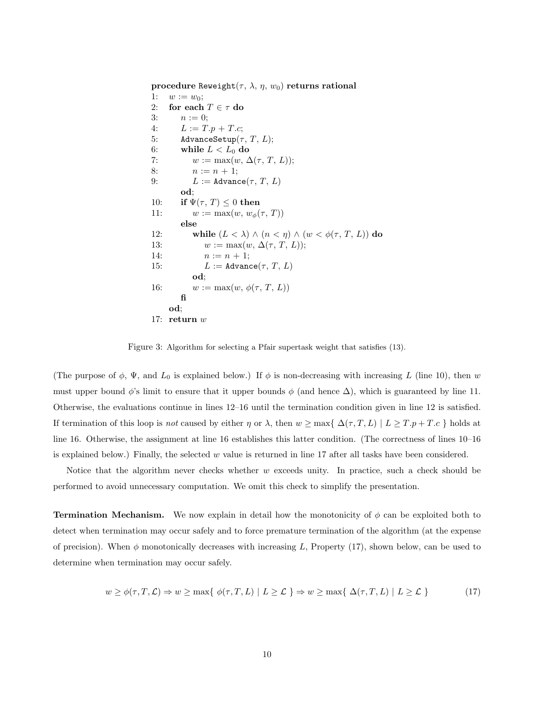**procedure** Reweight $(\tau, \lambda, \eta, w_0)$  **returns rational** 1:  $w := w_0;$ 2: **for each**  $T \in \tau$  **do** 3:  $n := 0$ ; 4:  $L := T.p + T.c;$ 5: AdvanceSetup $(\tau, T, L)$ ; 6: while  $L < L_0$  do 7:  $w := \max(w, \Delta(\tau, T, L));$ 8:  $n := n + 1;$ 9:  $L := \text{Advance}(\tau, T, L)$ **od**; 10: **if**  $\Psi(\tau, T) \leq 0$  **then** 11:  $w := \max(w, w_{\phi}(\tau, T))$ **else** 12: **while**  $(L < \lambda) \wedge (n < \eta) \wedge (w < \phi(\tau, T, L))$  **do** 13:  $w := \max(w, \Delta(\tau, T, L));$ 14:  $n := n + 1;$ 15:  $L := \text{Advance}(\tau, T, L)$ **od**; 16:  $w := \max(w, \phi(\tau, T, L))$ **fi od**; 17: **return** w

Figure 3: Algorithm for selecting a Pfair supertask weight that satisfies (13).

(The purpose of  $\phi$ ,  $\Psi$ , and  $L_0$  is explained below.) If  $\phi$  is non-decreasing with increasing L (line 10), then w must upper bound  $\phi$ 's limit to ensure that it upper bounds  $\phi$  (and hence  $\Delta$ ), which is guaranteed by line 11. Otherwise, the evaluations continue in lines 12–16 until the termination condition given in line 12 is satisfied. If termination of this loop is *not* caused by either  $\eta$  or  $\lambda$ , then  $w \ge \max\{ \Delta(\tau, T, L) | L \ge T \cdot p + T \cdot c \}$  holds at line 16. Otherwise, the assignment at line 16 establishes this latter condition. (The correctness of lines 10–16 is explained below.) Finally, the selected  $w$  value is returned in line 17 after all tasks have been considered.

Notice that the algorithm never checks whether w exceeds unity. In practice, such a check should be performed to avoid unnecessary computation. We omit this check to simplify the presentation.

**Termination Mechanism.** We now explain in detail how the monotonicity of  $\phi$  can be exploited both to detect when termination may occur safely and to force premature termination of the algorithm (at the expense of precision). When  $\phi$  monotonically decreases with increasing L, Property (17), shown below, can be used to determine when termination may occur safely.

$$
w \ge \phi(\tau, T, \mathcal{L}) \Rightarrow w \ge \max\{ \phi(\tau, T, L) \mid L \ge \mathcal{L} \} \Rightarrow w \ge \max\{ \Delta(\tau, T, L) \mid L \ge \mathcal{L} \}
$$
 (17)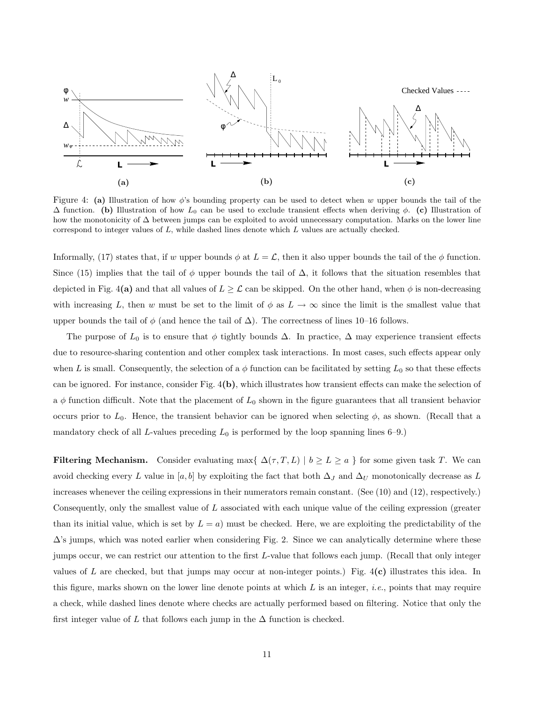

Figure 4: **(a)** Illustration of how φ's bounding property can be used to detect when w upper bounds the tail of the  $\Delta$  function. **(b)** Illustration of how  $L_0$  can be used to exclude transient effects when deriving  $\phi$ . **(c)** Illustration of how the monotonicity of  $\Delta$  between jumps can be exploited to avoid unnecessary computation. Marks on the lower line correspond to integer values of L, while dashed lines denote which L values are actually checked.

Informally, (17) states that, if w upper bounds  $\phi$  at  $L = \mathcal{L}$ , then it also upper bounds the tail of the  $\phi$  function. Since (15) implies that the tail of  $\phi$  upper bounds the tail of  $\Delta$ , it follows that the situation resembles that depicted in Fig. 4(a) and that all values of  $L \geq \mathcal{L}$  can be skipped. On the other hand, when  $\phi$  is non-decreasing with increasing L, then w must be set to the limit of  $\phi$  as  $L \to \infty$  since the limit is the smallest value that upper bounds the tail of  $\phi$  (and hence the tail of  $\Delta$ ). The correctness of lines 10–16 follows.

The purpose of  $L_0$  is to ensure that  $\phi$  tightly bounds  $\Delta$ . In practice,  $\Delta$  may experience transient effects due to resource-sharing contention and other complex task interactions. In most cases, such effects appear only when L is small. Consequently, the selection of a  $\phi$  function can be facilitated by setting  $L_0$  so that these effects can be ignored. For instance, consider Fig. 4**(b)**, which illustrates how transient effects can make the selection of a  $\phi$  function difficult. Note that the placement of  $L_0$  shown in the figure guarantees that all transient behavior occurs prior to  $L_0$ . Hence, the transient behavior can be ignored when selecting  $\phi$ , as shown. (Recall that a mandatory check of all L-values preceding  $L_0$  is performed by the loop spanning lines 6–9.)

**Filtering Mechanism.** Consider evaluating max $\{\Delta(\tau, T, L) \mid b \geq L \geq a\}$  for some given task T. We can avoid checking every L value in [a, b] by exploiting the fact that both  $\Delta_J$  and  $\Delta_U$  monotonically decrease as L increases whenever the ceiling expressions in their numerators remain constant. (See (10) and (12), respectively.) Consequently, only the smallest value of L associated with each unique value of the ceiling expression (greater than its initial value, which is set by  $L = a$ ) must be checked. Here, we are exploiting the predictability of the  $\Delta$ 's jumps, which was noted earlier when considering Fig. 2. Since we can analytically determine where these jumps occur, we can restrict our attention to the first L-value that follows each jump. (Recall that only integer values of L are checked, but that jumps may occur at non-integer points.) Fig. 4**(c)** illustrates this idea. In this figure, marks shown on the lower line denote points at which L is an integer, *i.e.*, points that may require a check, while dashed lines denote where checks are actually performed based on filtering. Notice that only the first integer value of L that follows each jump in the  $\Delta$  function is checked.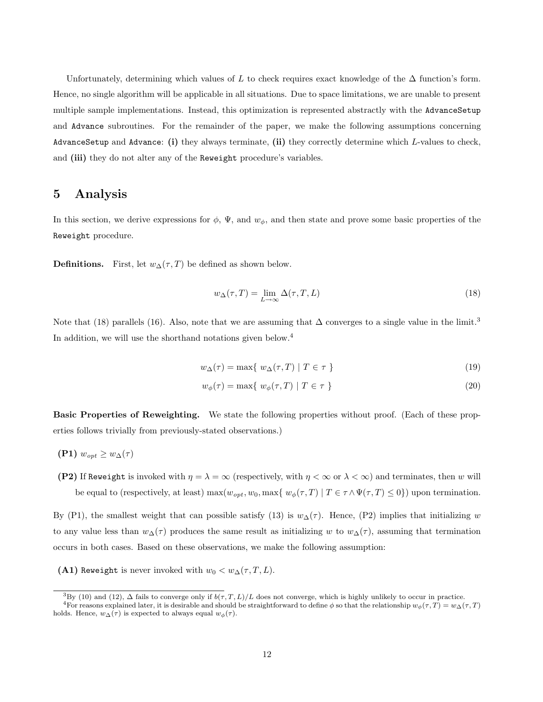Unfortunately, determining which values of L to check requires exact knowledge of the  $\Delta$  function's form. Hence, no single algorithm will be applicable in all situations. Due to space limitations, we are unable to present multiple sample implementations. Instead, this optimization is represented abstractly with the AdvanceSetup and Advance subroutines. For the remainder of the paper, we make the following assumptions concerning AdvanceSetup and Advance: **(i)** they always terminate, **(ii)** they correctly determine which L-values to check, and **(iii)** they do not alter any of the Reweight procedure's variables.

### **5 Analysis**

In this section, we derive expressions for  $\phi$ ,  $\Psi$ , and  $w_{\phi}$ , and then state and prove some basic properties of the Reweight procedure.

**Definitions.** First, let  $w_{\Delta}(\tau,T)$  be defined as shown below.

$$
w_{\Delta}(\tau, T) = \lim_{L \to \infty} \Delta(\tau, T, L)
$$
\n(18)

Note that (18) parallels (16). Also, note that we are assuming that  $\Delta$  converges to a single value in the limit.<sup>3</sup> In addition, we will use the shorthand notations given below.<sup>4</sup>

$$
w_{\Delta}(\tau) = \max\{ w_{\Delta}(\tau, T) \mid T \in \tau \}
$$
\n(19)

$$
w_{\phi}(\tau) = \max\{w_{\phi}(\tau, T) \mid T \in \tau\}
$$
\n(20)

**Basic Properties of Reweighting.** We state the following properties without proof. (Each of these properties follows trivially from previously-stated observations.)

$$
(\mathbf{P1}) w_{opt} \geq w_{\Delta}(\tau)
$$

**(P2)** If Reweight is invoked with  $\eta = \lambda = \infty$  (respectively, with  $\eta < \infty$  or  $\lambda < \infty$ ) and terminates, then w will be equal to (respectively, at least) max $(w_{opt}, w_0, \max\{w_{\phi}(\tau, T) | T \in \tau \wedge \Psi(\tau, T) \leq 0\})$  upon termination.

By (P1), the smallest weight that can possible satisfy (13) is  $w_{\Delta}(\tau)$ . Hence, (P2) implies that initializing w to any value less than  $w_{\Delta}(\tau)$  produces the same result as initializing w to  $w_{\Delta}(\tau)$ , assuming that termination occurs in both cases. Based on these observations, we make the following assumption:

**(A1)** Reweight is never invoked with  $w_0 < w_\Delta(\tau, T, L)$ .

<sup>&</sup>lt;sup>3</sup>By (10) and (12),  $\Delta$  fails to converge only if  $b(\tau,T,L)/L$  does not converge, which is highly unlikely to occur in practice.

<sup>&</sup>lt;sup>4</sup>For reasons explained later, it is desirable and should be straightforward to define  $\phi$  so that the relationship  $w_{\phi}(\tau,T) = w_{\Delta}(\tau,T)$ holds. Hence,  $w_{\Delta}(\tau)$  is expected to always equal  $w_{\phi}(\tau)$ .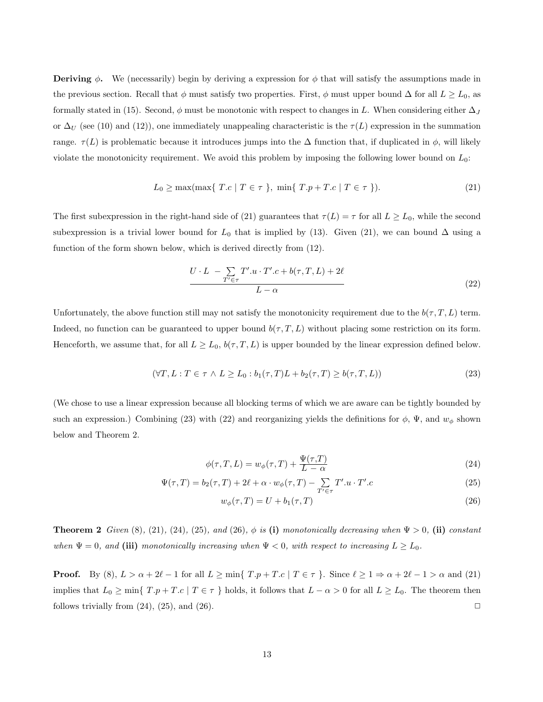**Deriving**  $\phi$ . We (necessarily) begin by deriving a expression for  $\phi$  that will satisfy the assumptions made in the previous section. Recall that  $\phi$  must satisfy two properties. First,  $\phi$  must upper bound  $\Delta$  for all  $L \ge L_0$ , as formally stated in (15). Second,  $\phi$  must be monotonic with respect to changes in L. When considering either  $\Delta_J$ or  $\Delta_U$  (see (10) and (12)), one immediately unappealing characteristic is the  $\tau(L)$  expression in the summation range.  $\tau(L)$  is problematic because it introduces jumps into the  $\Delta$  function that, if duplicated in  $\phi$ , will likely violate the monotonicity requirement. We avoid this problem by imposing the following lower bound on  $L_0$ :

$$
L_0 \ge \max(\max\{T.c \mid T \in \tau\}, \min\{T.p + T.c \mid T \in \tau\}).\tag{21}
$$

The first subexpression in the right-hand side of (21) guarantees that  $\tau(L) = \tau$  for all  $L \ge L_0$ , while the second subexpression is a trivial lower bound for  $L_0$  that is implied by (13). Given (21), we can bound  $\Delta$  using a function of the form shown below, which is derived directly from (12).

$$
\frac{U \cdot L - \sum_{T' \in \tau} T'.u \cdot T'.c + b(\tau, T, L) + 2\ell}{L - \alpha} \tag{22}
$$

Unfortunately, the above function still may not satisfy the monotonicity requirement due to the  $b(\tau,T,L)$  term. Indeed, no function can be guaranteed to upper bound  $b(\tau, T, L)$  without placing some restriction on its form. Henceforth, we assume that, for all  $L \ge L_0$ ,  $b(\tau, T, L)$  is upper bounded by the linear expression defined below.

$$
(\forall T, L: T \in \tau \land L \ge L_0: b_1(\tau, T)L + b_2(\tau, T) \ge b(\tau, T, L))
$$
\n
$$
(23)
$$

(We chose to use a linear expression because all blocking terms of which we are aware can be tightly bounded by such an expression.) Combining (23) with (22) and reorganizing yields the definitions for  $\phi$ ,  $\Psi$ , and  $w_{\phi}$  shown below and Theorem 2.

$$
\phi(\tau, T, L) = w_{\phi}(\tau, T) + \frac{\Psi(\tau, T)}{L - \alpha} \tag{24}
$$

$$
\Psi(\tau,T) = b_2(\tau,T) + 2\ell + \alpha \cdot w_{\phi}(\tau,T) - \sum_{T' \in \tau} T'.u \cdot T'.c \tag{25}
$$

$$
w_{\phi}(\tau, T) = U + b_1(\tau, T) \tag{26}
$$

**Theorem 2** *Given* (8)*,* (21)*,* (24)*,* (25)*,* and (26)*,*  $\phi$  *is* (i) *monotonically decreasing when*  $\Psi > 0$ *,* (ii) *constant when*  $\Psi = 0$ *, and* (iii) *monotonically increasing when*  $\Psi < 0$ *, with respect to increasing*  $L \ge L_0$ *.* 

**Proof.** By (8),  $L > \alpha + 2\ell - 1$  for all  $L \ge \min\{T.p + T.c \mid T \in \tau\}$ . Since  $\ell \ge 1 \Rightarrow \alpha + 2\ell - 1 > \alpha$  and (21) implies that  $L_0 \ge \min\{T.p + T.c \mid T \in \tau\}$  holds, it follows that  $L - \alpha > 0$  for all  $L \ge L_0$ . The theorem then follows trivially from  $(24)$ ,  $(25)$ , and  $(26)$ .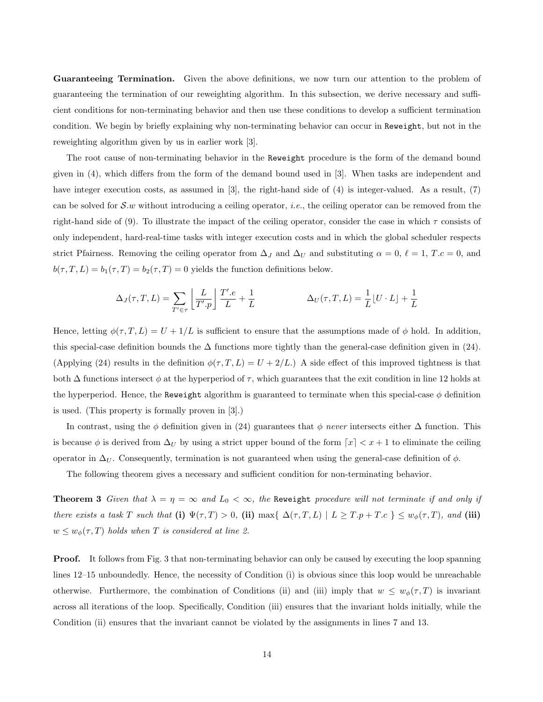**Guaranteeing Termination.** Given the above definitions, we now turn our attention to the problem of guaranteeing the termination of our reweighting algorithm. In this subsection, we derive necessary and sufficient conditions for non-terminating behavior and then use these conditions to develop a sufficient termination condition. We begin by briefly explaining why non-terminating behavior can occur in Reweight, but not in the reweighting algorithm given by us in earlier work [3].

The root cause of non-terminating behavior in the Reweight procedure is the form of the demand bound given in (4), which differs from the form of the demand bound used in [3]. When tasks are independent and have integer execution costs, as assumed in [3], the right-hand side of (4) is integer-valued. As a result, (7) can be solved for S.w without introducing a ceiling operator, *i.e.*, the ceiling operator can be removed from the right-hand side of (9). To illustrate the impact of the ceiling operator, consider the case in which  $\tau$  consists of only independent, hard-real-time tasks with integer execution costs and in which the global scheduler respects strict Pfairness. Removing the ceiling operator from  $\Delta_J$  and  $\Delta_U$  and substituting  $\alpha = 0, \ell = 1, T.c = 0$ , and  $b(\tau,T,L) = b_1(\tau,T) = b_2(\tau,T) = 0$  yields the function definitions below.

$$
\Delta_J(\tau, T, L) = \sum_{T' \in \tau} \left[ \frac{L}{T'.p} \right] \frac{T'.e}{L} + \frac{1}{L} \qquad \Delta_U(\tau, T, L) = \frac{1}{L} [U \cdot L] + \frac{1}{L}
$$

Hence, letting  $\phi(\tau,T,L) = U + 1/L$  is sufficient to ensure that the assumptions made of  $\phi$  hold. In addition, this special-case definition bounds the  $\Delta$  functions more tightly than the general-case definition given in (24). (Applying (24) results in the definition  $\phi(\tau,T,L) = U + 2/L$ .) A side effect of this improved tightness is that both  $\Delta$  functions intersect  $\phi$  at the hyperperiod of  $\tau$ , which guarantees that the exit condition in line 12 holds at the hyperperiod. Hence, the Reweight algorithm is guaranteed to terminate when this special-case  $\phi$  definition is used. (This property is formally proven in [3].)

In contrast, using the  $\phi$  definition given in (24) guarantees that  $\phi$  *never* intersects either  $\Delta$  function. This is because  $\phi$  is derived from  $\Delta_U$  by using a strict upper bound of the form  $\lceil x \rceil < x + 1$  to eliminate the ceiling operator in  $\Delta_U$ . Consequently, termination is not guaranteed when using the general-case definition of  $\phi$ .

The following theorem gives a necessary and sufficient condition for non-terminating behavior.

**Theorem 3** *Given that*  $\lambda = \eta = \infty$  *and*  $L_0 < \infty$ *, the* Reweight *procedure will not terminate if and only if there exists a task* T *such that* (i)  $\Psi(\tau, T) > 0$ , (ii) max{  $\Delta(\tau, T, L) | L \geq T \cdot p + T \cdot c$  }  $\leq w_{\phi}(\tau, T)$ *, and* (iii)  $w \leq w_{\phi}(\tau, T)$  *holds when* T *is considered at line 2.* 

**Proof.** It follows from Fig. 3 that non-terminating behavior can only be caused by executing the loop spanning lines 12–15 unboundedly. Hence, the necessity of Condition (i) is obvious since this loop would be unreachable otherwise. Furthermore, the combination of Conditions (ii) and (iii) imply that  $w \leq w_{\phi}(\tau,T)$  is invariant across all iterations of the loop. Specifically, Condition (iii) ensures that the invariant holds initially, while the Condition (ii) ensures that the invariant cannot be violated by the assignments in lines 7 and 13.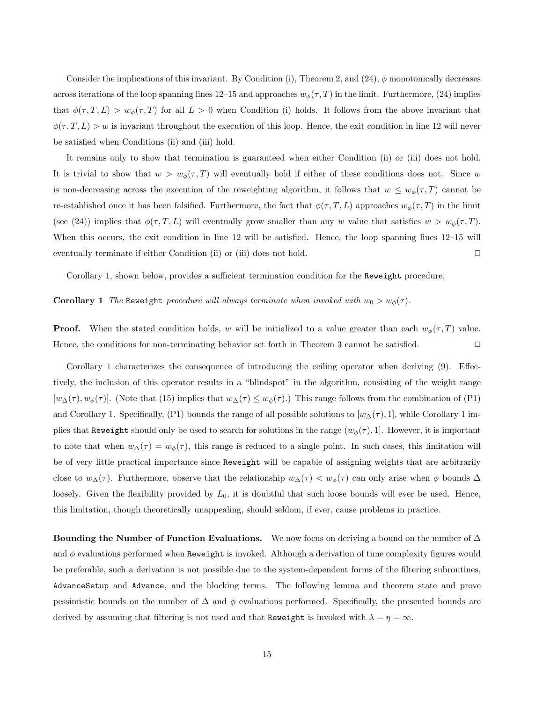Consider the implications of this invariant. By Condition (i), Theorem 2, and  $(24)$ ,  $\phi$  monotonically decreases across iterations of the loop spanning lines 12–15 and approaches  $w_{\phi}(\tau,T)$  in the limit. Furthermore, (24) implies that  $\phi(\tau,T,L) > w_{\phi}(\tau,T)$  for all  $L > 0$  when Condition (i) holds. It follows from the above invariant that  $\phi(\tau,T,L) > w$  is invariant throughout the execution of this loop. Hence, the exit condition in line 12 will never be satisfied when Conditions (ii) and (iii) hold.

It remains only to show that termination is guaranteed when either Condition (ii) or (iii) does not hold. It is trivial to show that  $w>w_\phi(\tau,T)$  will eventually hold if either of these conditions does not. Since w is non-decreasing across the execution of the reweighting algorithm, it follows that  $w \leq w_{\phi}(\tau,T)$  cannot be re-established once it has been falsified. Furthermore, the fact that  $\phi(\tau,T,L)$  approaches  $w_{\phi}(\tau,T)$  in the limit (see (24)) implies that  $\phi(\tau,T,L)$  will eventually grow smaller than any w value that satisfies  $w>w_{\phi}(\tau,T)$ . When this occurs, the exit condition in line 12 will be satisfied. Hence, the loop spanning lines 12–15 will eventually terminate if either Condition (ii) or (iii) does not hold.  $\Box$ 

Corollary 1, shown below, provides a sufficient termination condition for the Reweight procedure.

#### **Corollary 1** *The* Reweight *procedure will always terminate when invoked with*  $w_0 > w_\phi(\tau)$ *.*

**Proof.** When the stated condition holds, w will be initialized to a value greater than each  $w_{\phi}(\tau,T)$  value. Hence, the conditions for non-terminating behavior set forth in Theorem 3 cannot be satisfied.  $\Box$ 

Corollary 1 characterizes the consequence of introducing the ceiling operator when deriving (9). Effectively, the inclusion of this operator results in a "blindspot" in the algorithm, consisting of the weight range  $[w_\Delta(\tau), w_\phi(\tau)]$ . (Note that (15) implies that  $w_\Delta(\tau) \leq w_\phi(\tau)$ .) This range follows from the combination of (P1) and Corollary 1. Specifically, (P1) bounds the range of all possible solutions to  $[w_{\Delta}(\tau), 1]$ , while Corollary 1 implies that Reweight should only be used to search for solutions in the range  $(w_{\phi}(\tau), 1]$ . However, it is important to note that when  $w_{\Delta}(\tau) = w_{\phi}(\tau)$ , this range is reduced to a single point. In such cases, this limitation will be of very little practical importance since Reweight will be capable of assigning weights that are arbitrarily close to  $w_{\Delta}(\tau)$ . Furthermore, observe that the relationship  $w_{\Delta}(\tau) < w_{\phi}(\tau)$  can only arise when  $\phi$  bounds  $\Delta$ loosely. Given the flexibility provided by  $L_0$ , it is doubtful that such loose bounds will ever be used. Hence, this limitation, though theoretically unappealing, should seldom, if ever, cause problems in practice.

**Bounding the Number of Function Evaluations.** We now focus on deriving a bound on the number of ∆ and  $\phi$  evaluations performed when Reweight is invoked. Although a derivation of time complexity figures would be preferable, such a derivation is not possible due to the system-dependent forms of the filtering subroutines, AdvanceSetup and Advance, and the blocking terms. The following lemma and theorem state and prove pessimistic bounds on the number of  $\Delta$  and  $\phi$  evaluations performed. Specifically, the presented bounds are derived by assuming that filtering is not used and that Reweight is invoked with  $\lambda = \eta = \infty$ .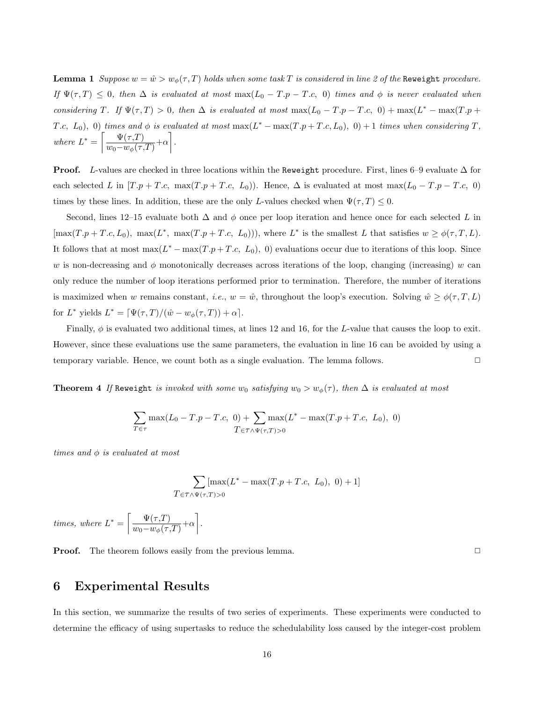**Lemma 1** *Suppose*  $w = \hat{w} > w_{\phi}(\tau, T)$  *holds when some task* T *is considered in line 2 of the* Reweight *procedure. If*  $\Psi(\tau, T) \leq 0$ , then  $\Delta$  *is evaluated at most* max $(L_0 - T.p - T.c, 0)$  *times and*  $\phi$  *is never evaluated when considering* T. If  $\Psi(\tau,T) > 0$ , then  $\Delta$  *is evaluated at most* max $(L_0 - T.p - T.c, 0) + \max(L^* - \max(T.p +$ T.c,  $L_0$ , 0) *times and*  $\phi$  *is evaluated at most* max $(L^* - \max(T.p + T.c, L_0), 0) + 1$  *times when considering* T, *where*  $L^* = \left[\frac{\Psi(\tau,T)}{\Psi(\tau)}\right]$  $\frac{\Psi(\tau,T)}{w_0-w_\phi(\tau,T)}+\alpha\bigg].$ 

**Proof.** L-values are checked in three locations within the Reweight procedure. First, lines 6–9 evaluate  $\Delta$  for each selected L in  $[T \cdot p + T \cdot c, \max(T \cdot p + T \cdot c, L_0)]$ . Hence,  $\Delta$  is evaluated at most max $(L_0 - T \cdot p - T \cdot c, 0)$ times by these lines. In addition, these are the only L-values checked when  $\Psi(\tau,T) \leq 0$ .

Second, lines 12–15 evaluate both  $\Delta$  and  $\phi$  once per loop iteration and hence once for each selected L in  $[\max(T.p + T.c, L_0), \max(L^*, \max(T.p + T.c, L_0))),$  where  $L^*$  is the smallest L that satisfies  $w \ge \phi(\tau, T, L)$ . It follows that at most  $\max(L^* - \max(T.p + T.c, L_0), 0)$  evaluations occur due to iterations of this loop. Since w is non-decreasing and  $\phi$  monotonically decreases across iterations of the loop, changing (increasing) w can only reduce the number of loop iterations performed prior to termination. Therefore, the number of iterations is maximized when w remains constant, *i.e.*,  $w = \hat{w}$ , throughout the loop's execution. Solving  $\hat{w} \geq \phi(\tau, T, L)$ for  $L^*$  yields  $L^* = \left[ \frac{\Psi(\tau, T)}{\hat{w} - w_\phi(\tau, T)} \right] + \alpha$ .

Finally,  $\phi$  is evaluated two additional times, at lines 12 and 16, for the L-value that causes the loop to exit. However, since these evaluations use the same parameters, the evaluation in line 16 can be avoided by using a temporary variable. Hence, we count both as a single evaluation. The lemma follows.

**Theorem 4** *If* Reweight *is invoked with some*  $w_0$  *satisfying*  $w_0 > w_\phi(\tau)$ *, then*  $\Delta$  *is evaluated at most* 

$$
\sum_{T \in \tau} \max(L_0 - T.p - T.c, 0) + \sum_{T \in \tau \wedge \Psi(\tau, T) > 0} \max(L^* - \max(T.p + T.c, L_0), 0)
$$

*times and* φ *is evaluated at most*

$$
\sum_{T \in \tau \wedge \Psi(\tau,T) > 0} [\max(L^* - \max(T.p + T.c, L_0), 0) + 1]
$$

*times, where*  $L^* = \left[ \frac{\Psi(\tau, T)}{w \mu(\tau, T)} \right]$  $\frac{\Psi(\tau,T)}{w_0-w_\phi(\tau,T)}+\alpha\bigg].$ 

**Proof.** The theorem follows easily from the previous lemma.  $\Box$ 

## **6 Experimental Results**

In this section, we summarize the results of two series of experiments. These experiments were conducted to determine the efficacy of using supertasks to reduce the schedulability loss caused by the integer-cost problem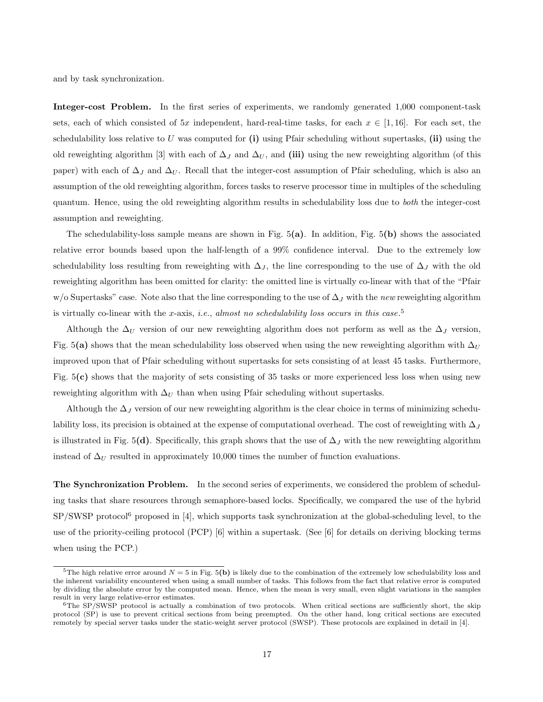and by task synchronization.

Integer-cost Problem. In the first series of experiments, we randomly generated 1,000 component-task sets, each of which consisted of 5x independent, hard-real-time tasks, for each  $x \in [1, 16]$ . For each set, the schedulability loss relative to U was computed for **(i)** using Pfair scheduling without supertasks, **(ii)** using the old reweighting algorithm [3] with each of  $\Delta_J$  and  $\Delta_U$ , and (iii) using the new reweighting algorithm (of this paper) with each of  $\Delta_J$  and  $\Delta_U$ . Recall that the integer-cost assumption of Pfair scheduling, which is also an assumption of the old reweighting algorithm, forces tasks to reserve processor time in multiples of the scheduling quantum. Hence, using the old reweighting algorithm results in schedulability loss due to *both* the integer-cost assumption and reweighting.

The schedulability-loss sample means are shown in Fig. 5**(a)**. In addition, Fig. 5**(b)** shows the associated relative error bounds based upon the half-length of a 99% confidence interval. Due to the extremely low schedulability loss resulting from reweighting with  $\Delta_J$ , the line corresponding to the use of  $\Delta_J$  with the old reweighting algorithm has been omitted for clarity: the omitted line is virtually co-linear with that of the "Pfair w/o Supertasks" case. Note also that the line corresponding to the use of  $\Delta_J$  with the *new* reweighting algorithm is virtually co-linear with the x-axis, *i.e.*, *almost no schedulability loss occurs in this case*. 5

Although the  $\Delta_U$  version of our new reweighting algorithm does not perform as well as the  $\Delta_J$  version, Fig. 5(a) shows that the mean schedulability loss observed when using the new reweighting algorithm with  $\Delta_U$ improved upon that of Pfair scheduling without supertasks for sets consisting of at least 45 tasks. Furthermore, Fig. 5**(c)** shows that the majority of sets consisting of 35 tasks or more experienced less loss when using new reweighting algorithm with  $\Delta_U$  than when using Pfair scheduling without supertasks.

Although the  $\Delta_J$  version of our new reweighting algorithm is the clear choice in terms of minimizing schedulability loss, its precision is obtained at the expense of computational overhead. The cost of reweighting with  $\Delta_J$ is illustrated in Fig. 5(d). Specifically, this graph shows that the use of  $\Delta_J$  with the new reweighting algorithm instead of  $\Delta_U$  resulted in approximately 10,000 times the number of function evaluations.

**The Synchronization Problem.** In the second series of experiments, we considered the problem of scheduling tasks that share resources through semaphore-based locks. Specifically, we compared the use of the hybrid  $SP/SWSP$  protocol<sup>6</sup> proposed in [4], which supports task synchronization at the global-scheduling level, to the use of the priority-ceiling protocol (PCP) [6] within a supertask. (See [6] for details on deriving blocking terms when using the PCP.)

<sup>&</sup>lt;sup>5</sup>The high relative error around  $N = 5$  in Fig. 5(b) is likely due to the combination of the extremely low schedulability loss and the inherent variability encountered when using a small number of tasks.This follows from the fact that relative error is computed by dividing the absolute error by the computed mean.Hence, when the mean is very small, even slight variations in the samples result in very large relative-error estimates.

 $6$ The SP/SWSP protocol is actually a combination of two protocols. When critical sections are sufficiently short, the skip protocol (SP) is use to prevent critical sections from being preempted. On the other hand, long critical sections are executed remotely by special server tasks under the static-weight server protocol (SWSP). These protocols are explained in detail in [4].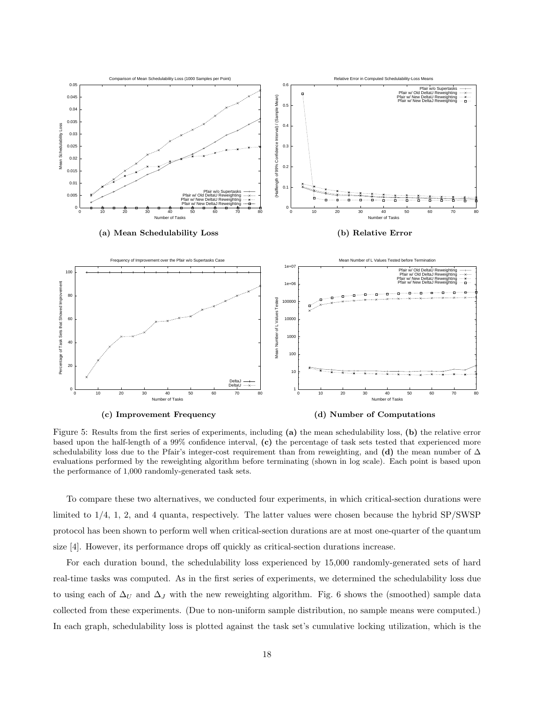

Figure 5: Results from the first series of experiments, including **(a)** the mean schedulability loss, **(b)** the relative error based upon the half-length of a 99% confidence interval, **(c)** the percentage of task sets tested that experienced more schedulability loss due to the Pfair's integer-cost requirement than from reweighting, and **(d)** the mean number of  $\Delta$ evaluations performed by the reweighting algorithm before terminating (shown in log scale). Each point is based upon the performance of 1,000 randomly-generated task sets.

To compare these two alternatives, we conducted four experiments, in which critical-section durations were limited to 1/4, 1, 2, and 4 quanta, respectively. The latter values were chosen because the hybrid SP/SWSP protocol has been shown to perform well when critical-section durations are at most one-quarter of the quantum size [4]. However, its performance drops off quickly as critical-section durations increase.

For each duration bound, the schedulability loss experienced by 15,000 randomly-generated sets of hard real-time tasks was computed. As in the first series of experiments, we determined the schedulability loss due to using each of  $\Delta_U$  and  $\Delta_J$  with the new reweighting algorithm. Fig. 6 shows the (smoothed) sample data collected from these experiments. (Due to non-uniform sample distribution, no sample means were computed.) In each graph, schedulability loss is plotted against the task set's cumulative locking utilization, which is the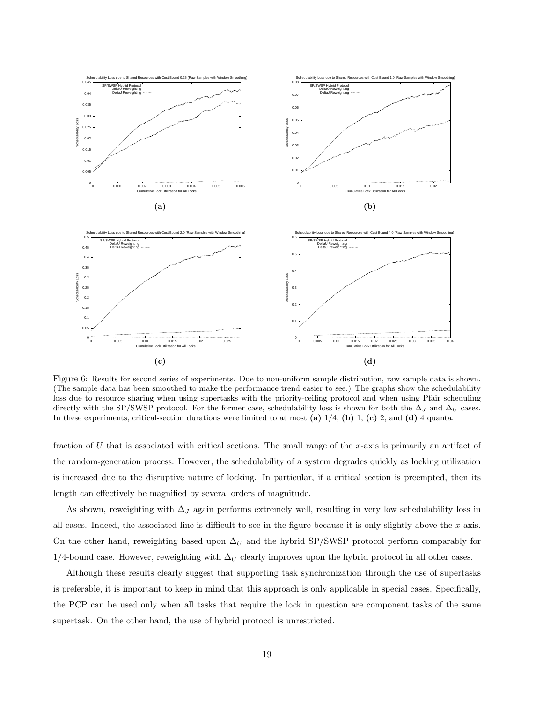

Figure 6: Results for second series of experiments. Due to non-uniform sample distribution, raw sample data is shown. (The sample data has been smoothed to make the performance trend easier to see.) The graphs show the schedulability loss due to resource sharing when using supertasks with the priority-ceiling protocol and when using Pfair scheduling directly with the SP/SWSP protocol. For the former case, schedulability loss is shown for both the  $\Delta_J$  and  $\Delta_U$  cases. In these experiments, critical-section durations were limited to at most **(a)** 1/4, **(b)** 1, **(c)** 2, and **(d)** 4 quanta.

fraction of U that is associated with critical sections. The small range of the x-axis is primarily an artifact of the random-generation process. However, the schedulability of a system degrades quickly as locking utilization is increased due to the disruptive nature of locking. In particular, if a critical section is preempted, then its length can effectively be magnified by several orders of magnitude.

As shown, reweighting with  $\Delta_J$  again performs extremely well, resulting in very low schedulability loss in all cases. Indeed, the associated line is difficult to see in the figure because it is only slightly above the  $x$ -axis. On the other hand, reweighting based upon  $\Delta_U$  and the hybrid SP/SWSP protocol perform comparably for 1/4-bound case. However, reweighting with  $\Delta_U$  clearly improves upon the hybrid protocol in all other cases.

Although these results clearly suggest that supporting task synchronization through the use of supertasks is preferable, it is important to keep in mind that this approach is only applicable in special cases. Specifically, the PCP can be used only when all tasks that require the lock in question are component tasks of the same supertask. On the other hand, the use of hybrid protocol is unrestricted.